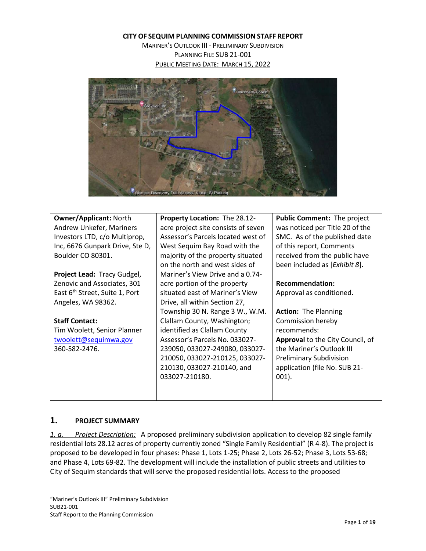**CITY OF SEQUIM PLANNING COMMISSION STAFF REPORT**

MARINER'S OUTLOOK III - PRELIMINARY SUBDIVISION PLANNING FILE SUB 21-001 PUBLIC MEETING DATE: MARCH 15, 2022



| <b>Owner/Applicant: North</b>              | Property Location: The 28.12-       | Public Comment: The project      |  |  |
|--------------------------------------------|-------------------------------------|----------------------------------|--|--|
| Andrew Unkefer, Mariners                   | acre project site consists of seven | was noticed per Title 20 of the  |  |  |
| Investors LTD, c/o Multiprop,              | Assessor's Parcels located west of  | SMC. As of the published date    |  |  |
| Inc, 6676 Gunpark Drive, Ste D,            | West Sequim Bay Road with the       | of this report, Comments         |  |  |
| Boulder CO 80301.                          | majority of the property situated   | received from the public have    |  |  |
|                                            | on the north and west sides of      | been included as [Exhibit 8].    |  |  |
| Project Lead: Tracy Gudgel,                | Mariner's View Drive and a 0.74-    |                                  |  |  |
| Zenovic and Associates, 301                | acre portion of the property        | <b>Recommendation:</b>           |  |  |
| East 6 <sup>th</sup> Street, Suite 1, Port | situated east of Mariner's View     | Approval as conditioned.         |  |  |
| Angeles, WA 98362.                         | Drive, all within Section 27,       |                                  |  |  |
|                                            | Township 30 N. Range 3 W., W.M.     | <b>Action: The Planning</b>      |  |  |
| <b>Staff Contact:</b>                      | Clallam County, Washington;         | Commission hereby                |  |  |
| Tim Woolett, Senior Planner                | identified as Clallam County        | recommends:                      |  |  |
| twoolett@sequimwa.gov                      | Assessor's Parcels No. 033027-      | Approval to the City Council, of |  |  |
| 360-582-2476.                              | 239050, 033027-249080, 033027-      | the Mariner's Outlook III        |  |  |
|                                            | 210050, 033027-210125, 033027-      | <b>Preliminary Subdivision</b>   |  |  |
|                                            | 210130, 033027-210140, and          | application (file No. SUB 21-    |  |  |
|                                            | 033027-210180.                      | $001$ ).                         |  |  |
|                                            |                                     |                                  |  |  |
|                                            |                                     |                                  |  |  |

## **1. PROJECT SUMMARY**

*1. a. Project Description:* A proposed preliminary subdivision application to develop 82 single family residential lots 28.12 acres of property currently zoned "Single Family Residential" (R 4-8). The project is proposed to be developed in four phases: Phase 1, Lots 1-25; Phase 2, Lots 26-52; Phase 3, Lots 53-68; and Phase 4, Lots 69-82. The development will include the installation of public streets and utilities to City of Sequim standards that will serve the proposed residential lots. Access to the proposed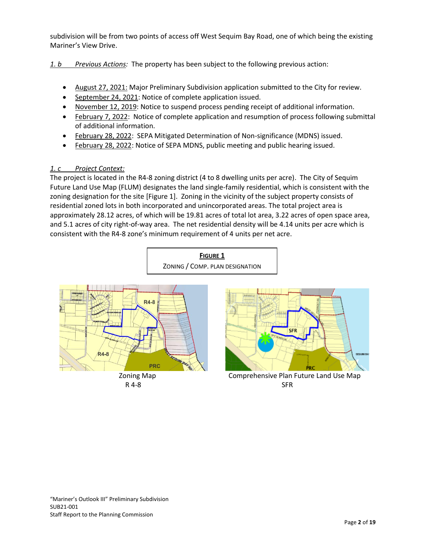subdivision will be from two points of access off West Sequim Bay Road, one of which being the existing Mariner's View Drive.

*1. b Previous Actions:* The property has been subject to the following previous action:

- August 27, 2021: Major Preliminary Subdivision application submitted to the City for review.
- September 24, 2021: Notice of complete application issued.
- November 12, 2019: Notice to suspend process pending receipt of additional information.
- February 7, 2022: Notice of complete application and resumption of process following submittal of additional information.
- February 28, 2022: SEPA Mitigated Determination of Non-significance (MDNS) issued.
- February 28, 2022: Notice of SEPA MDNS, public meeting and public hearing issued.

## *1. c Project Context:*

The project is located in the R4-8 zoning district (4 to 8 dwelling units per acre). The City of Sequim Future Land Use Map (FLUM) designates the land single-family residential, which is consistent with the zoning designation for the site [Figure 1]. Zoning in the vicinity of the subject property consists of residential zoned lots in both incorporated and unincorporated areas. The total project area is approximately 28.12 acres, of which will be 19.81 acres of total lot area, 3.22 acres of open space area, and 5.1 acres of city right-of-way area. The net residential density will be 4.14 units per acre which is consistent with the R4-8 zone's minimum requirement of 4 units per net acre.

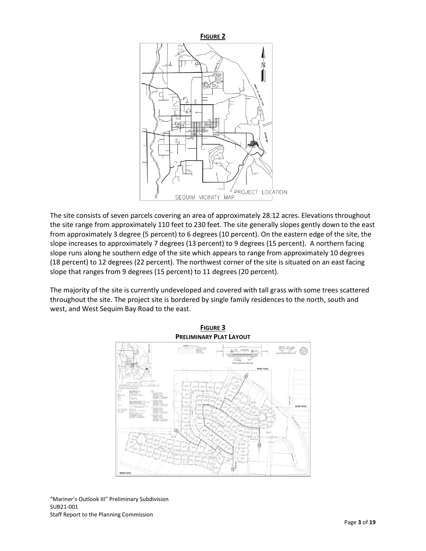

The site consists of seven parcels covering an area of approximately 28.12 acres. Elevations throughout the site range from approximately 110 feet to 230 feet. The site generally slopes gently down to the east from approximately 3 degree (5 percent) to 6 degrees (10 percent). On the eastern edge of the site, the slope increases to approximately 7 degrees (13 percent) to 9 degrees (15 percent). A northern facing slope runs along he southern edge of the site which appears to range from approximately 10 degrees (18 percent) to 12 degrees (22 percent). The northwest corner of the site is situated on an east facing slope that ranges from 9 degrees (15 percent) to 11 degrees (20 percent).

The majority of the site is currently undeveloped and covered with tall grass with some trees scattered throughout the site. The project site is bordered by single family residences to the north, south and west, and West Sequim Bay Road to the east.



"Mariner's Outlook III" Preliminary Subdivision SUB21-001 Staff Report to the Planning Commission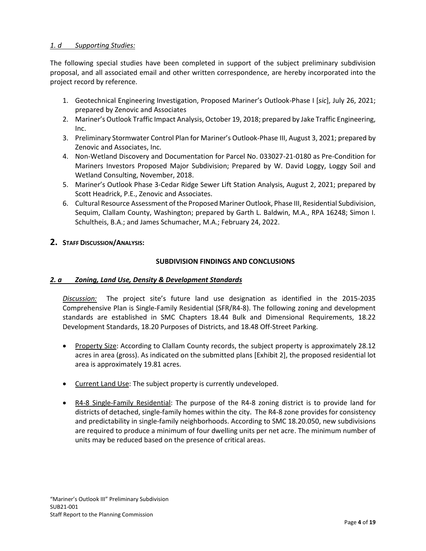## *1. d Supporting Studies:*

The following special studies have been completed in support of the subject preliminary subdivision proposal, and all associated email and other written correspondence, are hereby incorporated into the project record by reference.

- 1. Geotechnical Engineering Investigation, Proposed Mariner's Outlook-Phase I [*sic*], July 26, 2021; prepared by Zenovic and Associates
- 2. Mariner's Outlook Traffic Impact Analysis, October 19, 2018; prepared by Jake Traffic Engineering, Inc.
- 3. Preliminary Stormwater Control Plan for Mariner's Outlook-Phase III, August 3, 2021; prepared by Zenovic and Associates, Inc.
- 4. Non-Wetland Discovery and Documentation for Parcel No. 033027-21-0180 as Pre-Condition for Mariners Investors Proposed Major Subdivision; Prepared by W. David Loggy, Loggy Soil and Wetland Consulting, November, 2018.
- 5. Mariner's Outlook Phase 3-Cedar Ridge Sewer Lift Station Analysis, August 2, 2021; prepared by Scott Headrick, P.E., Zenovic and Associates.
- 6. Cultural Resource Assessment of the Proposed Mariner Outlook, Phase III, Residential Subdivision, Sequim, Clallam County, Washington; prepared by Garth L. Baldwin, M.A., RPA 16248; Simon I. Schultheis, B.A.; and James Schumacher, M.A.; February 24, 2022.

## **2. STAFF DISCUSSION/ANALYSIS:**

## **SUBDIVISION FINDINGS AND CONCLUSIONS**

### *2. a Zoning, Land Use, Density & Development Standards*

*Discussion:* The project site's future land use designation as identified in the 2015-2035 Comprehensive Plan is Single-Family Residential (SFR/R4-8). The following zoning and development standards are established in SMC Chapters 18.44 Bulk and Dimensional Requirements, 18.22 Development Standards, 18.20 Purposes of Districts, and 18.48 Off-Street Parking.

- Property Size: According to Clallam County records, the subject property is approximately 28.12 acres in area (gross). As indicated on the submitted plans [Exhibit 2], the proposed residential lot area is approximately 19.81 acres.
- Current Land Use: The subject property is currently undeveloped.
- R4-8 Single-Family Residential: The purpose of the R4-8 zoning district is to provide land for districts of detached, single-family homes within the city. The R4-8 zone provides for consistency and predictability in single-family neighborhoods. According to SMC 18.20.050, new subdivisions are required to produce a minimum of four dwelling units per net acre. The minimum number of units may be reduced based on the presence of critical areas.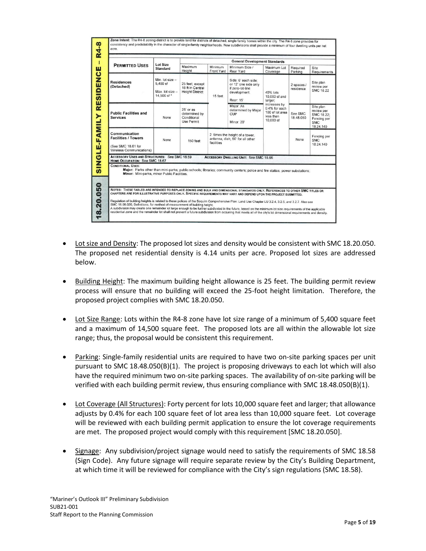| <b>PERMITTED USES</b>                                                                                                    | <b>Lot Size</b><br><b>Standard</b>                           | <b>General Development Standards</b>                             |                       |                                                                                                                               |                                                                            |                         |                                                                                                                               |  |
|--------------------------------------------------------------------------------------------------------------------------|--------------------------------------------------------------|------------------------------------------------------------------|-----------------------|-------------------------------------------------------------------------------------------------------------------------------|----------------------------------------------------------------------------|-------------------------|-------------------------------------------------------------------------------------------------------------------------------|--|
|                                                                                                                          |                                                              | Maximum<br>Height                                                | Minimum<br>Front Yard | Minimum Side /<br>Rear Yard                                                                                                   | Maximum Lot<br>Coverage                                                    | Required<br>Parking     | Site<br>Requirements                                                                                                          |  |
| <b>Residences</b><br>(Detached)                                                                                          | Min. lot size -<br>5.400 sf<br>Max. lot size -<br>14,500 sf* | 25 feet, except<br>18 ft in Central<br><b>Height District</b>    | 15 feet               | Side: 6' each side:<br>or 12' one side only<br>if zero-lot-line<br>development.<br>Rear: 15'                                  | 40% lots<br>10,000 sf and<br>larger;                                       | 2 spaces /<br>residence | Site plan<br>review per<br><b>SMC 18.22</b>                                                                                   |  |
| <b>Public Facilities and</b><br><b>Services</b>                                                                          | None                                                         | $25'$ or as<br>determined by<br>Conditional<br><b>Use Permit</b> |                       | Major: As<br>determined by Major<br>CUP<br>Minor: 20'                                                                         | increases by<br>0.4% for each<br>100 sf lot area<br>less than<br>10,000 sf | See SMC<br>18.48.050    | Site plan<br>review per<br>SMC 18.22;<br>Fencing per<br><b>SMC</b><br>18.24.140                                               |  |
| Communication<br><b>Facilities / Towers</b><br>(See SMC 18.61 for<br>Wireless Communications)                            | <b>None</b>                                                  | 150 feet                                                         | facilities            | 2 times the height of a tower.<br>antenna, dish; 50' for all other                                                            |                                                                            | None                    | Fencing per<br><b>SMC</b><br>18.24.140                                                                                        |  |
| <b>ACCESSORY USES AND STRUCTURES: See SMC 18.59</b><br><b>HOME OCCUPATION: See SMC 18.67</b><br><b>CONDITIONAL USES:</b> |                                                              |                                                                  |                       | <b>ACCESSORY DWELLING UNIT: See SMC 18.66</b>                                                                                 |                                                                            |                         |                                                                                                                               |  |
| Minor: Mini-parks, minor Public Facilities.                                                                              |                                                              |                                                                  |                       | Major: Parks other than mini-parks; public schools; libraries; community centers; police and fire statios; power substations; |                                                                            |                         |                                                                                                                               |  |
|                                                                                                                          |                                                              |                                                                  |                       |                                                                                                                               |                                                                            |                         | NOTES: THESE TABLES ARE INTENDED TO REPLACE ZONING AND BULK AND DIMENSIONAL STANDARDS ONLY. REFERENCES TO OTHER SMC TITLES OR |  |

- Lot size and Density: The proposed lot sizes and density would be consistent with SMC 18.20.050. The proposed net residential density is 4.14 units per acre. Proposed lot sizes are addressed below.
- Building Height: The maximum building height allowance is 25 feet. The building permit review process will ensure that no building will exceed the 25-foot height limitation. Therefore, the proposed project complies with SMC 18.20.050.
- Lot Size Range: Lots within the R4-8 zone have lot size range of a minimum of 5,400 square feet and a maximum of 14,500 square feet. The proposed lots are all within the allowable lot size range; thus, the proposal would be consistent this requirement.
- Parking: Single-family residential units are required to have two on-site parking spaces per unit pursuant to SMC 18.48.050(B)(1). The project is proposing driveways to each lot which will also have the required minimum two on-site parking spaces. The availability of on-site parking will be verified with each building permit review, thus ensuring compliance with SMC 18.48.050(B)(1).
- Lot Coverage (All Structures): Forty percent for lots 10,000 square feet and larger; that allowance adjusts by 0.4% for each 100 square feet of lot area less than 10,000 square feet. Lot coverage will be reviewed with each building permit application to ensure the lot coverage requirements are met. The proposed project would comply with this requirement [SMC 18.20.050].
- Signage: Any subdivision/project signage would need to satisfy the requirements of SMC 18.58 (Sign Code). Any future signage will require separate review by the City's Building Department, at which time it will be reviewed for compliance with the City's sign regulations (SMC 18.58).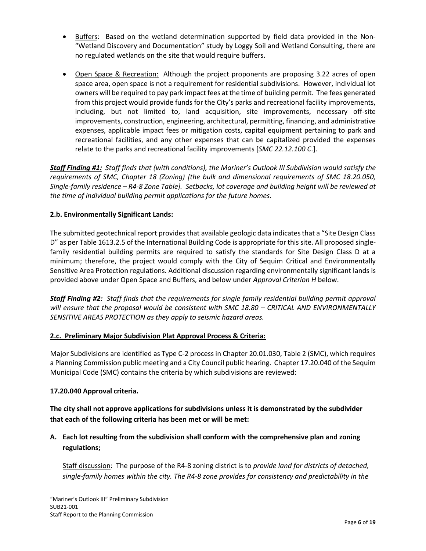- Buffers: Based on the wetland determination supported by field data provided in the Non- "Wetland Discovery and Documentation" study by Loggy Soil and Wetland Consulting, there are no regulated wetlands on the site that would require buffers.
- Open Space & Recreation: Although the project proponents are proposing 3.22 acres of open space area, open space is not a requirement for residential subdivisions. However, individual lot owners will be required to pay park impact fees at the time of building permit. The fees generated from this project would provide funds for the City's parks and recreational facility improvements, including, but not limited to, land acquisition, site improvements, necessary off-site improvements, construction, engineering, architectural, permitting, financing, and administrative expenses, applicable impact fees or mitigation costs, capital equipment pertaining to park and recreational facilities, and any other expenses that can be capitalized provided the expenses relate to the parks and recreational facility improvements [*SMC 22.12.100 C*.].

*Staff Finding #1: Staff finds that (with conditions), the Mariner's Outlook III Subdivision would satisfy the requirements of SMC, Chapter 18 (Zoning) [the bulk and dimensional requirements of SMC 18.20.050, Single-family residence – R4-8 Zone Table]. Setbacks, lot coverage and building height will be reviewed at the time of individual building permit applications for the future homes.* 

## **2.b. Environmentally Significant Lands:**

The submitted geotechnical report provides that available geologic data indicates that a "Site Design Class D" as per Table 1613.2.5 of the International Building Code is appropriate for this site. All proposed singlefamily residential building permits are required to satisfy the standards for Site Design Class D at a minimum; therefore, the project would comply with the City of Sequim Critical and Environmentally Sensitive Area Protection regulations. Additional discussion regarding environmentally significant lands is provided above under Open Space and Buffers, and below under *Approval Criterion H* below.

*Staff Finding #2: Staff finds that the requirements for single family residential building permit approval will ensure that the proposal would be consistent with SMC 18.80 – CRITICAL AND ENVIRONMENTALLY SENSITIVE AREAS PROTECTION as they apply to seismic hazard areas.* 

### **2.c. Preliminary Major Subdivision Plat Approval Process & Criteria:**

Major Subdivisions are identified as Type C-2 process in Chapter 20.01.030, Table 2 (SMC), which requires a Planning Commission public meeting and a City Council public hearing. Chapter 17.20.040 of the Sequim Municipal Code (SMC) contains the criteria by which subdivisions are reviewed:

### **17.20.040 Approval criteria.**

**The city shall not approve applications for subdivisions unless it is demonstrated by the subdivider that each of the following criteria has been met or will be met:**

## **A. Each lot resulting from the subdivision shall conform with the comprehensive plan and zoning regulations;**

Staff discussion: The purpose of the R4-8 zoning district is to *provide land for districts of detached, single-family homes within the city. The R4-8 zone provides for consistency and predictability in the*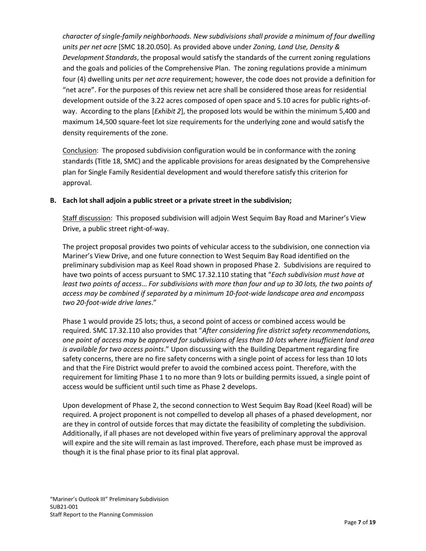*character of single-family neighborhoods. New subdivisions shall provide a minimum of four dwelling units per net acre* [SMC 18.20.050]. As provided above under *Zoning, Land Use, Density & Development Standards*, the proposal would satisfy the standards of the current zoning regulations and the goals and policies of the Comprehensive Plan. The zoning regulations provide a minimum four (4) dwelling units per *net acre* requirement; however, the code does not provide a definition for "net acre". For the purposes of this review net acre shall be considered those areas for residential development outside of the 3.22 acres composed of open space and 5.10 acres for public rights-ofway. According to the plans [*Exhibit 2*], the proposed lots would be within the minimum 5,400 and maximum 14,500 square-feet lot size requirements for the underlying zone and would satisfy the density requirements of the zone.

Conclusion: The proposed subdivision configuration would be in conformance with the zoning standards (Title 18, SMC) and the applicable provisions for areas designated by the Comprehensive plan for Single Family Residential development and would therefore satisfy this criterion for approval.

## **B. Each lot shall adjoin a public street or a private street in the subdivision;**

Staff discussion: This proposed subdivision will adjoin West Sequim Bay Road and Mariner's View Drive, a public street right-of-way.

The project proposal provides two points of vehicular access to the subdivision, one connection via Mariner's View Drive, and one future connection to West Sequim Bay Road identified on the preliminary subdivision map as Keel Road shown in proposed Phase 2. Subdivisions are required to have two points of access pursuant to SMC 17.32.110 stating that "*Each subdivision must have at least two points of access*… *For subdivisions with more than four and up to 30 lots, the two points of access may be combined if separated by a minimum 10-foot-wide landscape area and encompass two 20-foot-wide drive lanes*."

Phase 1 would provide 25 lots; thus, a second point of access or combined access would be required. SMC 17.32.110 also provides that "*After considering fire district safety recommendations, one point of access may be approved for subdivisions of less than 10 lots where insufficient land area is available for two access points*." Upon discussing with the Building Department regarding fire safety concerns, there are no fire safety concerns with a single point of access for less than 10 lots and that the Fire District would prefer to avoid the combined access point. Therefore, with the requirement for limiting Phase 1 to no more than 9 lots or building permits issued, a single point of access would be sufficient until such time as Phase 2 develops.

Upon development of Phase 2, the second connection to West Sequim Bay Road (Keel Road) will be required. A project proponent is not compelled to develop all phases of a phased development, nor are they in control of outside forces that may dictate the feasibility of completing the subdivision. Additionally, if all phases are not developed within five years of preliminary approval the approval will expire and the site will remain as last improved. Therefore, each phase must be improved as though it is the final phase prior to its final plat approval.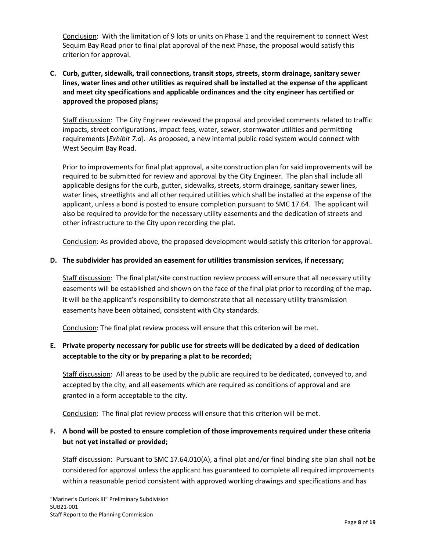Conclusion: With the limitation of 9 lots or units on Phase 1 and the requirement to connect West Sequim Bay Road prior to final plat approval of the next Phase, the proposal would satisfy this criterion for approval.

## **C. Curb, gutter, sidewalk, trail connections, transit stops, streets, storm drainage, sanitary sewer lines, water lines and other utilities as required shall be installed at the expense of the applicant and meet city specifications and applicable ordinances and the city engineer has certified or approved the proposed plans;**

Staff discussion: The City Engineer reviewed the proposal and provided comments related to traffic impacts, street configurations, impact fees, water, sewer, stormwater utilities and permitting requirements [*Exhibit 7.d*]. As proposed, a new internal public road system would connect with West Sequim Bay Road.

Prior to improvements for final plat approval, a site construction plan for said improvements will be required to be submitted for review and approval by the City Engineer. The plan shall include all applicable designs for the curb, gutter, sidewalks, streets, storm drainage, sanitary sewer lines, water lines, streetlights and all other required utilities which shall be installed at the expense of the applicant, unless a bond is posted to ensure completion pursuant to SMC 17.64. The applicant will also be required to provide for the necessary utility easements and the dedication of streets and other infrastructure to the City upon recording the plat.

Conclusion: As provided above, the proposed development would satisfy this criterion for approval.

### **D. The subdivider has provided an easement for utilities transmission services, if necessary;**

Staff discussion: The final plat/site construction review process will ensure that all necessary utility easements will be established and shown on the face of the final plat prior to recording of the map. It will be the applicant's responsibility to demonstrate that all necessary utility transmission easements have been obtained, consistent with City standards.

Conclusion: The final plat review process will ensure that this criterion will be met.

## **E. Private property necessary for public use for streets will be dedicated by a deed of dedication acceptable to the city or by preparing a plat to be recorded;**

Staff discussion: All areas to be used by the public are required to be dedicated, conveyed to, and accepted by the city, and all easements which are required as conditions of approval and are granted in a form acceptable to the city.

Conclusion: The final plat review process will ensure that this criterion will be met.

## **F. A bond will be posted to ensure completion of those improvements required under these criteria but not yet installed or provided;**

Staff discussion: Pursuant to SMC 17.64.010(A), a final plat and/or final binding site plan shall not be considered for approval unless the applicant has guaranteed to complete all required improvements within a reasonable period consistent with approved working drawings and specifications and has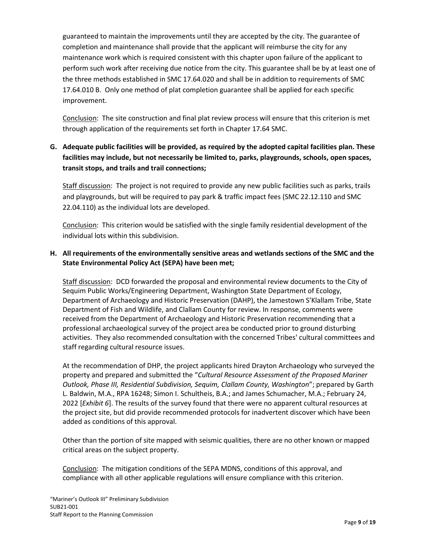guaranteed to maintain the improvements until they are accepted by the city. The guarantee of completion and maintenance shall provide that the applicant will reimburse the city for any maintenance work which is required consistent with this chapter upon failure of the applicant to perform such work after receiving due notice from the city. This guarantee shall be by at least one of the three methods established in SMC [17.64.020](https://www.codepublishing.com/WA/Sequim/html/Sequim17/Sequim1764.html#17.64.020) and shall be in addition to requirements of SMC 17.64.010 B. Only one method of plat completion guarantee shall be applied for each specific improvement.

Conclusion: The site construction and final plat review process will ensure that this criterion is met through application of the requirements set forth in Chapter 17.64 SMC.

# **G. Adequate public facilities will be provided, as required by the adopted capital facilities plan. These facilities may include, but not necessarily be limited to, parks, playgrounds, schools, open spaces, transit stops, and trails and trail connections;**

Staff discussion: The project is not required to provide any new public facilities such as parks, trails and playgrounds, but will be required to pay park & traffic impact fees (SMC 22.12.110 and SMC 22.04.110) as the individual lots are developed.

Conclusion: This criterion would be satisfied with the single family residential development of the individual lots within this subdivision.

## **H. All requirements of the environmentally sensitive areas and wetlands sections of the SMC and the State Environmental Policy Act (SEPA) have been met;**

Staff discussion: DCD forwarded the proposal and environmental review documents to the City of Sequim Public Works/Engineering Department, Washington State Department of Ecology, Department of Archaeology and Historic Preservation (DAHP), the Jamestown S'Klallam Tribe, State Department of Fish and Wildlife, and Clallam County for review. In response, comments were received from the Department of Archaeology and Historic Preservation recommending that a professional archaeological survey of the project area be conducted prior to ground disturbing activities. They also recommended consultation with the concerned Tribes' cultural committees and staff regarding cultural resource issues.

At the recommendation of DHP, the project applicants hired Drayton Archaeology who surveyed the property and prepared and submitted the "*Cultural Resource Assessment of the Proposed Mariner Outlook, Phase III, Residential Subdivision, Sequim, Clallam County, Washington*"; prepared by Garth L. Baldwin, M.A., RPA 16248; Simon I. Schultheis, B.A.; and James Schumacher, M.A.; February 24, 2022 [*Exhibit 6*]. The results of the survey found that there were no apparent cultural resources at the project site, but did provide recommended protocols for inadvertent discover which have been added as conditions of this approval.

Other than the portion of site mapped with seismic qualities, there are no other known or mapped critical areas on the subject property.

Conclusion: The mitigation conditions of the SEPA MDNS, conditions of this approval, and compliance with all other applicable regulations will ensure compliance with this criterion.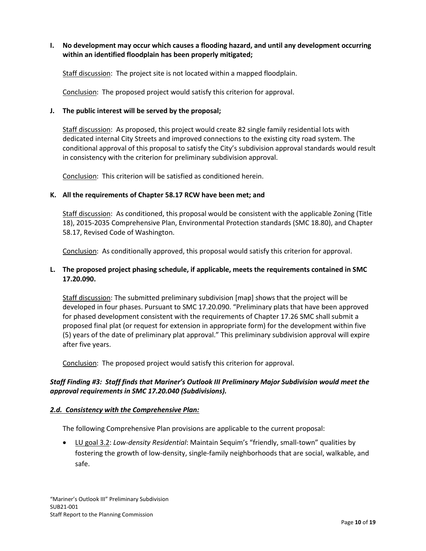### **I. No development may occur which causes a flooding hazard, and until any development occurring within an identified floodplain has been properly mitigated;**

Staff discussion: The project site is not located within a mapped floodplain.

Conclusion: The proposed project would satisfy this criterion for approval.

#### **J. The public interest will be served by the proposal;**

Staff discussion: As proposed, this project would create 82 single family residential lots with dedicated internal City Streets and improved connections to the existing city road system. The conditional approval of this proposal to satisfy the City's subdivision approval standards would result in consistency with the criterion for preliminary subdivision approval.

Conclusion: This criterion will be satisfied as conditioned herein.

#### **K. All the requirements of Chapter [58.17](https://www.codepublishing.com/cgi-bin/rcw.pl?cite=58.17) RCW have been met; and**

Staff discussion: As conditioned, this proposal would be consistent with the applicable Zoning (Title 18), 2015-2035 Comprehensive Plan, Environmental Protection standards (SMC 18.80), and Chapter 58.17, Revised Code of Washington.

Conclusion: As conditionally approved, this proposal would satisfy this criterion for approval.

### **L. The proposed project phasing schedule, if applicable, meets the requirements contained in SMC [17.20.090.](https://www.codepublishing.com/WA/Sequim/html/Sequim17/Sequim1720.html#17.20.090)**

Staff discussion: The submitted preliminary subdivision [map] shows that the project will be developed in four phases. Pursuant to SMC 17.20.090. "Preliminary plats that have been approved for phased development consistent with the requirements of Chapter 17.26 SMC shall submit a proposed final plat (or request for extension in appropriate form) for the development within five (5) years of the date of preliminary plat approval." This preliminary subdivision approval will expire after five years.

Conclusion: The proposed project would satisfy this criterion for approval.

## *Staff Finding #3: Staff finds that Mariner's Outlook III Preliminary Major Subdivision would meet the approval requirements in SMC 17.20.040 (Subdivisions).*

### *2.d. Consistency with the Comprehensive Plan:*

The following Comprehensive Plan provisions are applicable to the current proposal:

• LU goal 3.2: *Low-density Residential*: Maintain Sequim's "friendly, small-town" qualities by fostering the growth of low-density, single-family neighborhoods that are social, walkable, and safe.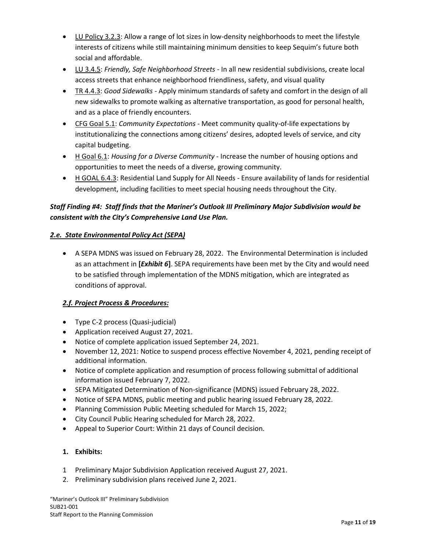- LU Policy 3.2.3: Allow a range of lot sizes in low-density neighborhoods to meet the lifestyle interests of citizens while still maintaining minimum densities to keep Sequim's future both social and affordable.
- LU 3.4.5: *Friendly, Safe Neighborhood Streets* In all new residential subdivisions, create local access streets that enhance neighborhood friendliness, safety, and visual quality
- TR 4.4.3: *Good Sidewalks* Apply minimum standards of safety and comfort in the design of all new sidewalks to promote walking as alternative transportation, as good for personal health, and as a place of friendly encounters.
- CFG Goal 5.1: *Community Expectations* Meet community quality-of-life expectations by institutionalizing the connections among citizens' desires, adopted levels of service, and city capital budgeting.
- H Goal 6.1: *Housing for a Diverse Community*  Increase the number of housing options and opportunities to meet the needs of a diverse, growing community.
- H GOAL 6.4.3: Residential Land Supply for All Needs Ensure availability of lands for residential development, including facilities to meet special housing needs throughout the City.

# *Staff Finding #4: Staff finds that the Mariner's Outlook III Preliminary Major Subdivision would be consistent with the City's Comprehensive Land Use Plan.*

## *2.e. State Environmental Policy Act (SEPA)*

• A SEPA MDNS was issued on February 28, 2022. The Environmental Determination is included as an attachment in **[***Exhibit 6***]**. SEPA requirements have been met by the City and would need to be satisfied through implementation of the MDNS mitigation, which are integrated as conditions of approval.

# *2.f. Project Process & Procedures:*

- Type C-2 process (Quasi-judicial)
- Application received August 27, 2021.
- Notice of complete application issued September 24, 2021.
- November 12, 2021: Notice to suspend process effective November 4, 2021, pending receipt of additional information.
- Notice of complete application and resumption of process following submittal of additional information issued February 7, 2022.
- SEPA Mitigated Determination of Non-significance (MDNS) issued February 28, 2022.
- Notice of SEPA MDNS, public meeting and public hearing issued February 28, 2022.
- Planning Commission Public Meeting scheduled for March 15, 2022;
- City Council Public Hearing scheduled for March 28, 2022.
- Appeal to Superior Court: Within 21 days of Council decision.

## **1. Exhibits:**

- 1 Preliminary Major Subdivision Application received August 27, 2021.
- 2. Preliminary subdivision plans received June 2, 2021.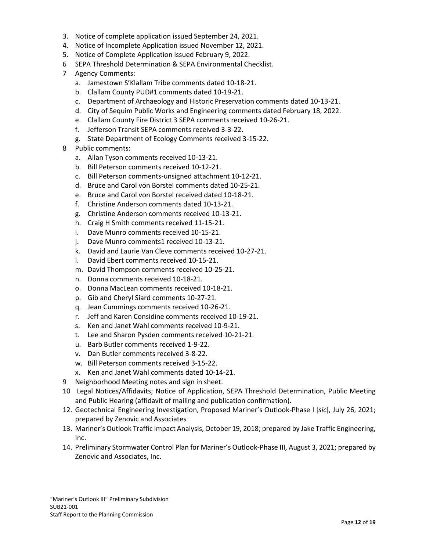- 3. Notice of complete application issued September 24, 2021.
- 4. Notice of Incomplete Application issued November 12, 2021.
- 5. Notice of Complete Application issued February 9, 2022.
- 6 SEPA Threshold Determination & SEPA Environmental Checklist.
- 7 Agency Comments:
	- a. Jamestown S'Klallam Tribe comments dated 10-18-21.
	- b. Clallam County PUD#1 comments dated 10-19-21.
	- c. Department of Archaeology and Historic Preservation comments dated 10-13-21.
	- d. City of Sequim Public Works and Engineering comments dated February 18, 2022.
	- e. Clallam County Fire District 3 SEPA comments received 10-26-21.
	- f. Jefferson Transit SEPA comments received 3-3-22.
	- g. State Department of Ecology Comments received 3-15-22.
- 8 Public comments:
	- a. Allan Tyson comments received 10-13-21.
	- b. Bill Peterson comments received 10-12-21.
	- c. Bill Peterson comments-unsigned attachment 10-12-21.
	- d. Bruce and Carol von Borstel comments dated 10-25-21.
	- e. Bruce and Carol von Borstel received dated 10-18-21.
	- f. Christine Anderson comments dated 10-13-21.
	- g. Christine Anderson comments received 10-13-21.
	- h. Craig H Smith comments received 11-15-21.
	- i. Dave Munro comments received 10-15-21.
	- j. Dave Munro comments1 received 10-13-21.
	- k. David and Laurie Van Cleve comments received 10-27-21.
	- l. David Ebert comments received 10-15-21.
	- m. David Thompson comments received 10-25-21.
	- n. Donna comments received 10-18-21.
	- o. Donna MacLean comments received 10-18-21.
	- p. Gib and Cheryl Siard comments 10-27-21.
	- q. Jean Cummings comments received 10-26-21.
	- r. Jeff and Karen Considine comments received 10-19-21.
	- s. Ken and Janet Wahl comments received 10-9-21.
	- t. Lee and Sharon Pysden comments received 10-21-21.
	- u. Barb Butler comments received 1-9-22.
	- v. Dan Butler comments received 3-8-22.
	- w. Bill Peterson comments received 3-15-22.
	- x. Ken and Janet Wahl comments dated 10-14-21.
- 9 Neighborhood Meeting notes and sign in sheet.
- 10 Legal Notices/Affidavits; Notice of Application, SEPA Threshold Determination, Public Meeting and Public Hearing (affidavit of mailing and publication confirmation).
- 12. Geotechnical Engineering Investigation, Proposed Mariner's Outlook-Phase I [*sic*], July 26, 2021; prepared by Zenovic and Associates
- 13. Mariner's Outlook Traffic Impact Analysis, October 19, 2018; prepared by Jake Traffic Engineering, Inc.
- 14. Preliminary Stormwater Control Plan for Mariner's Outlook-Phase III, August 3, 2021; prepared by Zenovic and Associates, Inc.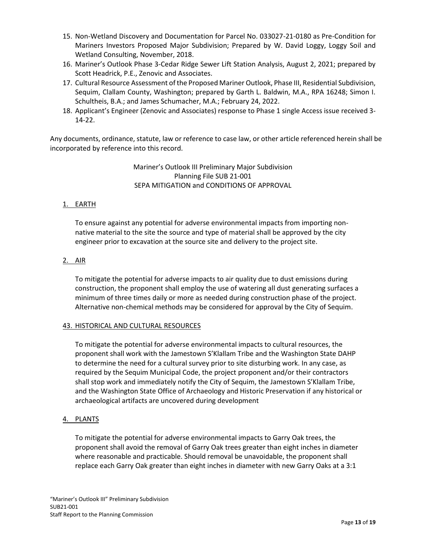- 15. Non-Wetland Discovery and Documentation for Parcel No. 033027-21-0180 as Pre-Condition for Mariners Investors Proposed Major Subdivision; Prepared by W. David Loggy, Loggy Soil and Wetland Consulting, November, 2018.
- 16. Mariner's Outlook Phase 3-Cedar Ridge Sewer Lift Station Analysis, August 2, 2021; prepared by Scott Headrick, P.E., Zenovic and Associates.
- 17. Cultural Resource Assessment of the Proposed Mariner Outlook, Phase III, Residential Subdivision, Sequim, Clallam County, Washington; prepared by Garth L. Baldwin, M.A., RPA 16248; Simon I. Schultheis, B.A.; and James Schumacher, M.A.; February 24, 2022.
- 18. Applicant's Engineer (Zenovic and Associates) response to Phase 1 single Access issue received 3- 14-22.

Any documents, ordinance, statute, law or reference to case law, or other article referenced herein shall be incorporated by reference into this record.

> Mariner's Outlook III Preliminary Major Subdivision Planning File SUB 21-001 SEPA MITIGATION and CONDITIONS OF APPROVAL

## 1. EARTH

To ensure against any potential for adverse environmental impacts from importing nonnative material to the site the source and type of material shall be approved by the city engineer prior to excavation at the source site and delivery to the project site.

### 2. AIR

To mitigate the potential for adverse impacts to air quality due to dust emissions during construction, the proponent shall employ the use of watering all dust generating surfaces a minimum of three times daily or more as needed during construction phase of the project. Alternative non-chemical methods may be considered for approval by the City of Sequim.

### 43. HISTORICAL AND CULTURAL RESOURCES

To mitigate the potential for adverse environmental impacts to cultural resources, the proponent shall work with the Jamestown S'Klallam Tribe and the Washington State DAHP to determine the need for a cultural survey prior to site disturbing work. In any case, as required by the Sequim Municipal Code, the project proponent and/or their contractors shall stop work and immediately notify the City of Sequim, the Jamestown S'Klallam Tribe, and the Washington State Office of Archaeology and Historic Preservation if any historical or archaeological artifacts are uncovered during development

## 4. PLANTS

To mitigate the potential for adverse environmental impacts to Garry Oak trees, the proponent shall avoid the removal of Garry Oak trees greater than eight inches in diameter where reasonable and practicable. Should removal be unavoidable, the proponent shall replace each Garry Oak greater than eight inches in diameter with new Garry Oaks at a 3:1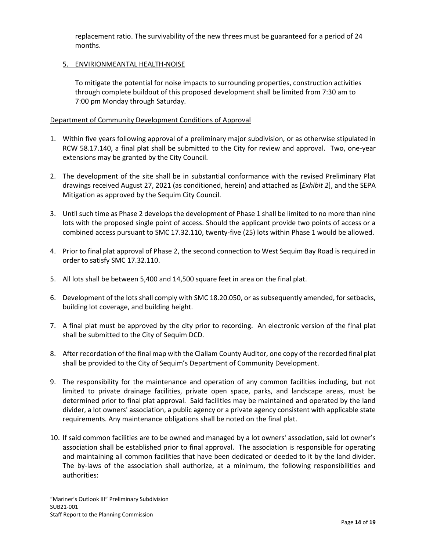replacement ratio. The survivability of the new threes must be guaranteed for a period of 24 months.

## 5. ENVIRIONMEANTAL HEALTH-NOISE

To mitigate the potential for noise impacts to surrounding properties, construction activities through complete buildout of this proposed development shall be limited from 7:30 am to 7:00 pm Monday through Saturday.

### Department of Community Development Conditions of Approval

- 1. Within five years following approval of a preliminary major subdivision, or as otherwise stipulated in RCW 58.17.140, a final plat shall be submitted to the City for review and approval. Two, one-year extensions may be granted by the City Council.
- 2. The development of the site shall be in substantial conformance with the revised Preliminary Plat drawings received August 27, 2021 (as conditioned, herein) and attached as [*Exhibit 2*], and the SEPA Mitigation as approved by the Sequim City Council.
- 3. Until such time as Phase 2 develops the development of Phase 1 shall be limited to no more than nine lots with the proposed single point of access. Should the applicant provide two points of access or a combined access pursuant to SMC 17.32.110, twenty-five (25) lots within Phase 1 would be allowed.
- 4. Prior to final plat approval of Phase 2, the second connection to West Sequim Bay Road is required in order to satisfy SMC 17.32.110.
- 5. All lots shall be between 5,400 and 14,500 square feet in area on the final plat.
- 6. Development of the lots shall comply with SMC 18.20.050, or as subsequently amended, for setbacks, building lot coverage, and building height.
- 7. A final plat must be approved by the city prior to recording. An electronic version of the final plat shall be submitted to the City of Sequim DCD.
- 8. After recordation of the final map with the Clallam County Auditor, one copy of the recorded final plat shall be provided to the City of Sequim's Department of Community Development.
- 9. The responsibility for the maintenance and operation of any common facilities including, but not limited to private drainage facilities, private open space, parks, and landscape areas, must be determined prior to final plat approval. Said facilities may be maintained and operated by the land divider, a lot owners' association, a public agency or a private agency consistent with applicable state requirements. Any maintenance obligations shall be noted on the final plat.
- 10. If said common facilities are to be owned and managed by a lot owners' association, said lot owner's association shall be established prior to final approval. The association is responsible for operating and maintaining all common facilities that have been dedicated or deeded to it by the land divider. The by-laws of the association shall authorize, at a minimum, the following responsibilities and authorities: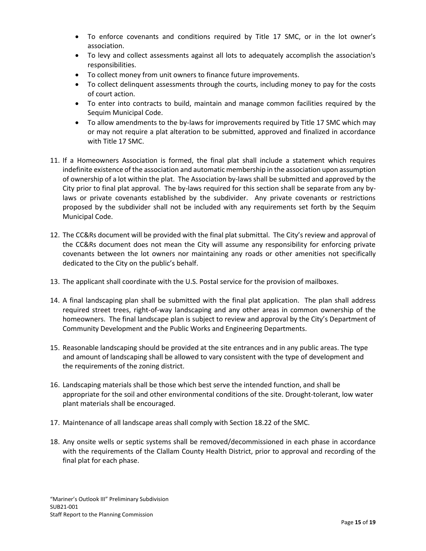- To enforce covenants and conditions required by Title 17 SMC, or in the lot owner's association.
- To levy and collect assessments against all lots to adequately accomplish the association's responsibilities.
- To collect money from unit owners to finance future improvements.
- To collect delinquent assessments through the courts, including money to pay for the costs of court action.
- To enter into contracts to build, maintain and manage common facilities required by the Sequim Municipal Code.
- To allow amendments to the by-laws for improvements required by Title 17 SMC which may or may not require a plat alteration to be submitted, approved and finalized in accordance with Title 17 SMC.
- 11. If a Homeowners Association is formed, the final plat shall include a statement which requires indefinite existence of the association and automatic membership in the association upon assumption of ownership of a lot within the plat. The Association by-laws shall be submitted and approved by the City prior to final plat approval. The by-laws required for this section shall be separate from any bylaws or private covenants established by the subdivider. Any private covenants or restrictions proposed by the subdivider shall not be included with any requirements set forth by the Sequim Municipal Code.
- 12. The CC&Rs document will be provided with the final plat submittal. The City's review and approval of the CC&Rs document does not mean the City will assume any responsibility for enforcing private covenants between the lot owners nor maintaining any roads or other amenities not specifically dedicated to the City on the public's behalf.
- 13. The applicant shall coordinate with the U.S. Postal service for the provision of mailboxes.
- 14. A final landscaping plan shall be submitted with the final plat application. The plan shall address required street trees, right-of-way landscaping and any other areas in common ownership of the homeowners. The final landscape plan is subject to review and approval by the City's Department of Community Development and the Public Works and Engineering Departments.
- 15. Reasonable landscaping should be provided at the site entrances and in any public areas. The type and amount of landscaping shall be allowed to vary consistent with the type of development and the requirements of the zoning district.
- 16. Landscaping materials shall be those which best serve the intended function, and shall be appropriate for the soil and other environmental conditions of the site. Drought-tolerant, low water plant materials shall be encouraged.
- 17. Maintenance of all landscape areas shall comply with Section 18.22 of the SMC.
- 18. Any onsite wells or septic systems shall be removed/decommissioned in each phase in accordance with the requirements of the Clallam County Health District, prior to approval and recording of the final plat for each phase.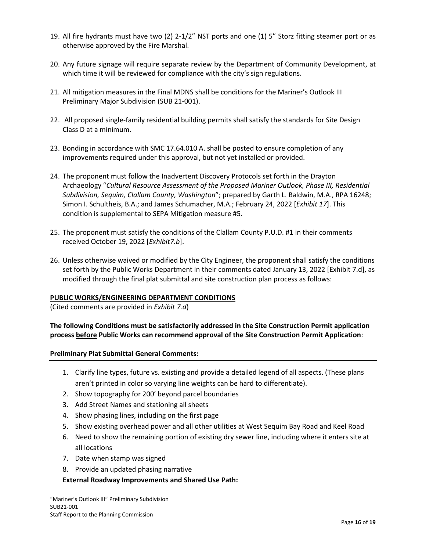- 19. All fire hydrants must have two (2) 2-1/2" NST ports and one (1) 5" Storz fitting steamer port or as otherwise approved by the Fire Marshal.
- 20. Any future signage will require separate review by the Department of Community Development, at which time it will be reviewed for compliance with the city's sign regulations.
- 21. All mitigation measures in the Final MDNS shall be conditions for the Mariner's Outlook III Preliminary Major Subdivision (SUB 21-001).
- 22. All proposed single-family residential building permits shall satisfy the standards for Site Design Class D at a minimum.
- 23. Bonding in accordance with SMC 17.64.010 A. shall be posted to ensure completion of any improvements required under this approval, but not yet installed or provided.
- 24. The proponent must follow the Inadvertent Discovery Protocols set forth in the Drayton Archaeology "*Cultural Resource Assessment of the Proposed Mariner Outlook, Phase III, Residential Subdivision, Sequim, Clallam County, Washington*"; prepared by Garth L. Baldwin, M.A., RPA 16248; Simon I. Schultheis, B.A.; and James Schumacher, M.A.; February 24, 2022 [*Exhibit 17*]. This condition is supplemental to SEPA Mitigation measure #5.
- 25. The proponent must satisfy the conditions of the Clallam County P.U.D. #1 in their comments received October 19, 2022 [*Exhibit7.b*].
- 26. Unless otherwise waived or modified by the City Engineer, the proponent shall satisfy the conditions set forth by the Public Works Department in their comments dated January 13, 2022 [Exhibit 7.d], as modified through the final plat submittal and site construction plan process as follows:

### **PUBLIC WORKS/ENGINEERING DEPARTMENT CONDITIONS**

(Cited comments are provided in *Exhibit 7.d*)

## **The following Conditions must be satisfactorily addressed in the Site Construction Permit application process before Public Works can recommend approval of the Site Construction Permit Application**:

### **Preliminary Plat Submittal General Comments:**

- 1. Clarify line types, future vs. existing and provide a detailed legend of all aspects. (These plans aren't printed in color so varying line weights can be hard to differentiate).
- 2. Show topography for 200' beyond parcel boundaries
- 3. Add Street Names and stationing all sheets
- 4. Show phasing lines, including on the first page
- 5. Show existing overhead power and all other utilities at West Sequim Bay Road and Keel Road
- 6. Need to show the remaining portion of existing dry sewer line, including where it enters site at all locations
- 7. Date when stamp was signed
- 8. Provide an updated phasing narrative

### **External Roadway Improvements and Shared Use Path:**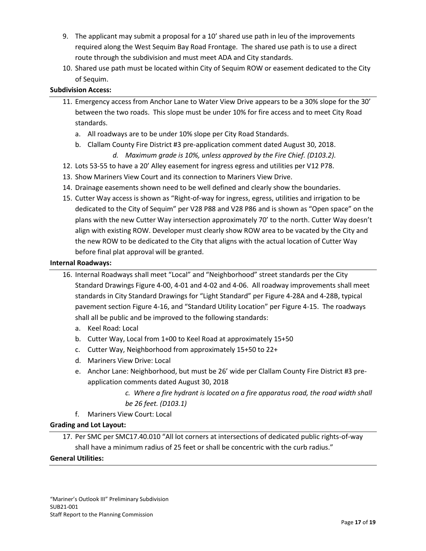- 9. The applicant may submit a proposal for a 10' shared use path in leu of the improvements required along the West Sequim Bay Road Frontage. The shared use path is to use a direct route through the subdivision and must meet ADA and City standards.
- 10. Shared use path must be located within City of Sequim ROW or easement dedicated to the City of Sequim.

## **Subdivision Access:**

- 11. Emergency access from Anchor Lane to Water View Drive appears to be a 30% slope for the 30' between the two roads. This slope must be under 10% for fire access and to meet City Road standards.
	- a. All roadways are to be under 10% slope per City Road Standards.
	- b. Clallam County Fire District #3 pre-application comment dated August 30, 2018.
		- *d. Maximum grade is 10%, unless approved by the Fire Chief. (D103.2).*
- 12. Lots 53-55 to have a 20' Alley easement for ingress egress and utilities per V12 P78.
- 13. Show Mariners View Court and its connection to Mariners View Drive.
- 14. Drainage easements shown need to be well defined and clearly show the boundaries.
- 15. Cutter Way access is shown as "Right-of-way for ingress, egress, utilities and irrigation to be dedicated to the City of Sequim" per V28 P88 and V28 P86 and is shown as "Open space" on the plans with the new Cutter Way intersection approximately 70' to the north. Cutter Way doesn't align with existing ROW. Developer must clearly show ROW area to be vacated by the City and the new ROW to be dedicated to the City that aligns with the actual location of Cutter Way before final plat approval will be granted.

#### **Internal Roadways:**

- 16. Internal Roadways shall meet "Local" and "Neighborhood" street standards per the City Standard Drawings Figure 4-00, 4-01 and 4-02 and 4-06. All roadway improvements shall meet standards in City Standard Drawings for "Light Standard" per Figure 4-28A and 4-28B, typical pavement section Figure 4-16, and "Standard Utility Location" per Figure 4-15. The roadways shall all be public and be improved to the following standards:
	- a. Keel Road: Local
	- b. Cutter Way, Local from 1+00 to Keel Road at approximately 15+50
	- c. Cutter Way, Neighborhood from approximately 15+50 to 22+
	- d. Mariners View Drive: Local
	- e. Anchor Lane: Neighborhood, but must be 26' wide per Clallam County Fire District #3 preapplication comments dated August 30, 2018
		- *c. Where a fire hydrant is located on a fire apparatus road, the road width shall be 26 feet. (D103.1)*
	- f. Mariners View Court: Local

### **Grading and Lot Layout:**

17. Per SMC per SMC17.40.010 "All lot corners at intersections of dedicated public rights-of-way shall have a minimum radius of 25 feet or shall be concentric with the curb radius."

### **General Utilities:**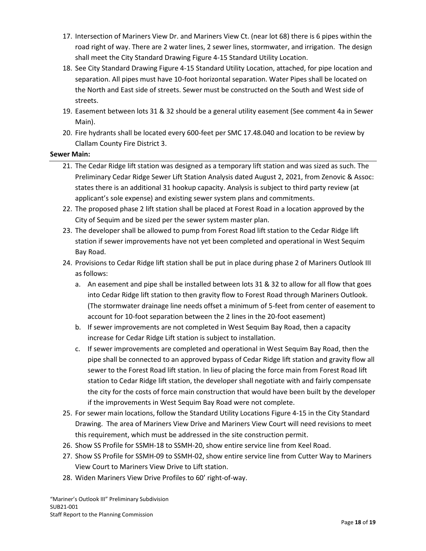- 17. Intersection of Mariners View Dr. and Mariners View Ct. (near lot 68) there is 6 pipes within the road right of way. There are 2 water lines, 2 sewer lines, stormwater, and irrigation. The design shall meet the City Standard Drawing Figure 4-15 Standard Utility Location.
- 18. See City Standard Drawing Figure 4-15 Standard Utility Location, attached, for pipe location and separation. All pipes must have 10-foot horizontal separation. Water Pipes shall be located on the North and East side of streets. Sewer must be constructed on the South and West side of streets.
- 19. Easement between lots 31 & 32 should be a general utility easement (See comment 4a in Sewer Main).
- 20. Fire hydrants shall be located every 600-feet per SMC 17.48.040 and location to be review by Clallam County Fire District 3.

## **Sewer Main:**

- 21. The Cedar Ridge lift station was designed as a temporary lift station and was sized as such. The Preliminary Cedar Ridge Sewer Lift Station Analysis dated August 2, 2021, from Zenovic & Assoc: states there is an additional 31 hookup capacity. Analysis is subject to third party review (at applicant's sole expense) and existing sewer system plans and commitments.
- 22. The proposed phase 2 lift station shall be placed at Forest Road in a location approved by the City of Sequim and be sized per the sewer system master plan.
- 23. The developer shall be allowed to pump from Forest Road lift station to the Cedar Ridge lift station if sewer improvements have not yet been completed and operational in West Sequim Bay Road.
- 24. Provisions to Cedar Ridge lift station shall be put in place during phase 2 of Mariners Outlook III as follows:
	- a. An easement and pipe shall be installed between lots 31 & 32 to allow for all flow that goes into Cedar Ridge lift station to then gravity flow to Forest Road through Mariners Outlook. (The stormwater drainage line needs offset a minimum of 5-feet from center of easement to account for 10-foot separation between the 2 lines in the 20-foot easement)
	- b. If sewer improvements are not completed in West Sequim Bay Road, then a capacity increase for Cedar Ridge Lift station is subject to installation.
	- c. If sewer improvements are completed and operational in West Sequim Bay Road, then the pipe shall be connected to an approved bypass of Cedar Ridge lift station and gravity flow all sewer to the Forest Road lift station. In lieu of placing the force main from Forest Road lift station to Cedar Ridge lift station, the developer shall negotiate with and fairly compensate the city for the costs of force main construction that would have been built by the developer if the improvements in West Sequim Bay Road were not complete.
- 25. For sewer main locations, follow the Standard Utility Locations Figure 4-15 in the City Standard Drawing. The area of Mariners View Drive and Mariners View Court will need revisions to meet this requirement, which must be addressed in the site construction permit.
- 26. Show SS Profile for SSMH-18 to SSMH-20, show entire service line from Keel Road.
- 27. Show SS Profile for SSMH-09 to SSMH-02, show entire service line from Cutter Way to Mariners View Court to Mariners View Drive to Lift station.
- 28. Widen Mariners View Drive Profiles to 60' right-of-way.